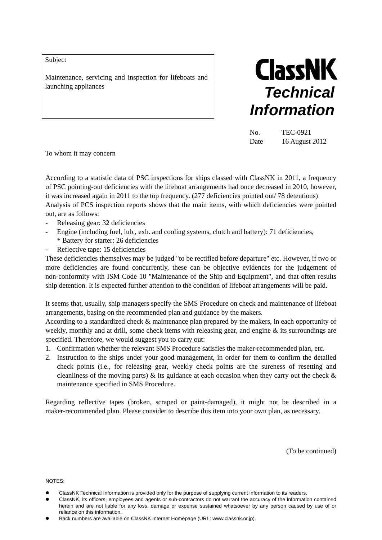Subject

Maintenance, servicing and inspection for lifeboats and



No. TEC-0921 Date 16 August 2012

To whom it may concern

According to a statistic data of PSC inspections for ships classed with ClassNK in 2011, a frequency of PSC pointing-out deficiencies with the lifeboat arrangements had once decreased in 2010, however, it was increased again in 2011 to the top frequency. (277 deficiencies pointed out/ 78 detentions) Analysis of PCS inspection reports shows that the main items, with which deficiencies were pointed out, are as follows:

- Releasing gear: 32 deficiencies
- Engine (including fuel, lub., exh. and cooling systems, clutch and battery): 71 deficiencies, \* Battery for starter: 26 deficiencies
- Reflective tape: 15 deficiencies

These deficiencies themselves may be judged "to be rectified before departure" etc. However, if two or more deficiencies are found concurrently, these can be objective evidences for the judgement of non-conformity with ISM Code 10 "Maintenance of the Ship and Equipment", and that often results ship detention. It is expected further attention to the condition of lifeboat arrangements will be paid.

It seems that, usually, ship managers specify the SMS Procedure on check and maintenance of lifeboat arrangements, basing on the recommended plan and guidance by the makers.

According to a standardized check & maintenance plan prepared by the makers, in each opportunity of weekly, monthly and at drill, some check items with releasing gear, and engine  $\&$  its surroundings are specified. Therefore, we would suggest you to carry out:

- 1. Confirmation whether the relevant SMS Procedure satisfies the maker-recommended plan, etc.
- 2. Instruction to the ships under your good management, in order for them to confirm the detailed check points (i.e., for releasing gear, weekly check points are the sureness of resetting and cleanliness of the moving parts)  $\&$  its guidance at each occasion when they carry out the check  $\&$ maintenance specified in SMS Procedure.

Regarding reflective tapes (broken, scraped or paint-damaged), it might not be described in a maker-recommended plan. Please consider to describe this item into your own plan, as necessary.

(To be continued)

NOTES:

- ClassNK Technical Information is provided only for the purpose of supplying current information to its readers.
- ClassNK, its officers, employees and agents or sub-contractors do not warrant the accuracy of the information contained herein and are not liable for any loss, damage or expense sustained whatsoever by any person caused by use of or reliance on this information.
- Back numbers are available on ClassNK Internet Homepage (URL: www.classnk.or.jp).